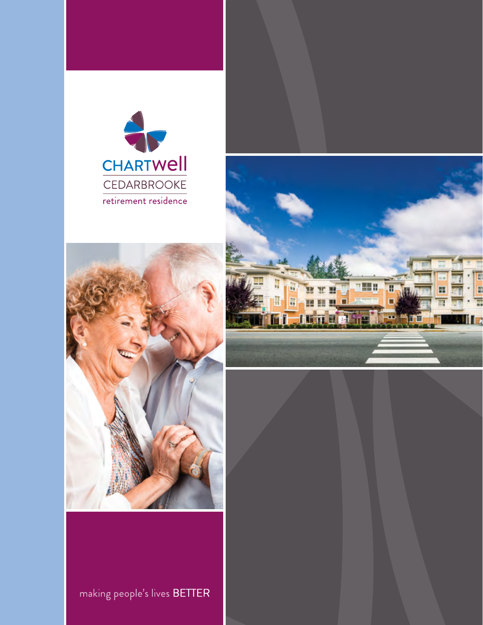





making people's lives BETTER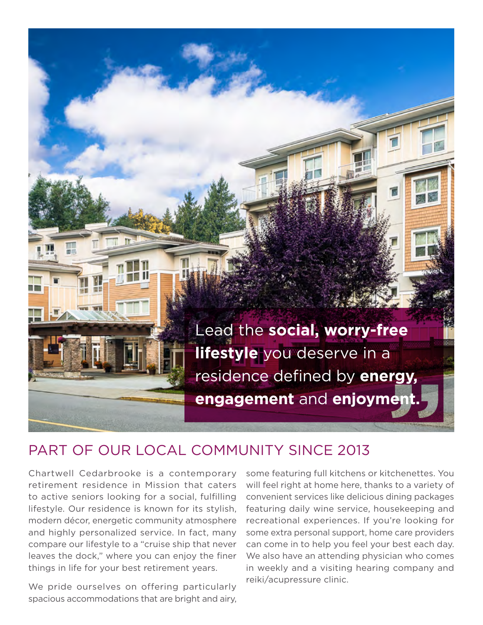

## PART OF OUR LOCAL COMMUNITY SINCE 2013

Chartwell Cedarbrooke is a contemporary retirement residence in Mission that caters to active seniors looking for a social, fulflling lifestyle. Our residence is known for its stylish, modern décor, energetic community atmosphere and highly personalized service. In fact, many compare our lifestyle to a "cruise ship that never leaves the dock," where you can enjoy the finer things in life for your best retirement years.

We pride ourselves on offering particularly spacious accommodations that are bright and airy,

some featuring full kitchens or kitchenettes. You will feel right at home here, thanks to a variety of convenient services like delicious dining packages featuring daily wine service, housekeeping and recreational experiences. If you're looking for some extra personal support, home care providers can come in to help you feel your best each day. We also have an attending physician who comes in weekly and a visiting hearing company and reiki/acupressure clinic.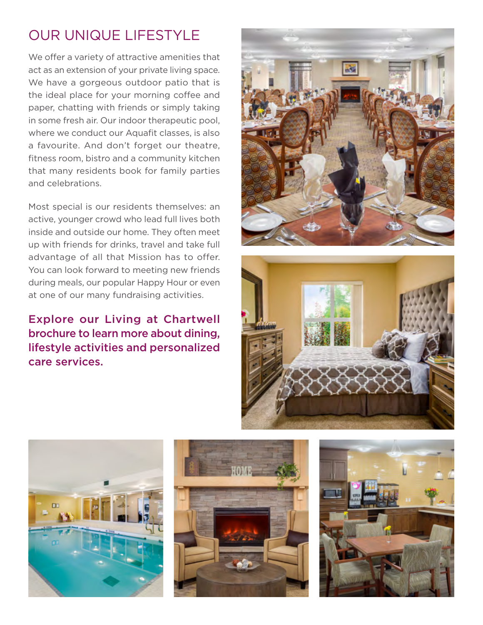# OUR UNIQUE LIFESTYLE

We offer a variety of attractive amenities that act as an extension of your private living space. We have a gorgeous outdoor patio that is the ideal place for your morning coffee and paper, chatting with friends or simply taking in some fresh air. Our indoor therapeutic pool, where we conduct our Aquafit classes, is also a favourite. And don't forget our theatre, fitness room, bistro and a community kitchen that many residents book for family parties and celebrations.

Most special is our residents themselves: an active, younger crowd who lead full lives both inside and outside our home. They often meet up with friends for drinks, travel and take full advantage of all that Mission has to offer. You can look forward to meeting new friends during meals, our popular Happy Hour or even at one of our many fundraising activities.

### Explore our Living at Chartwell brochure to learn more about dining, lifestyle activities and personalized care services.









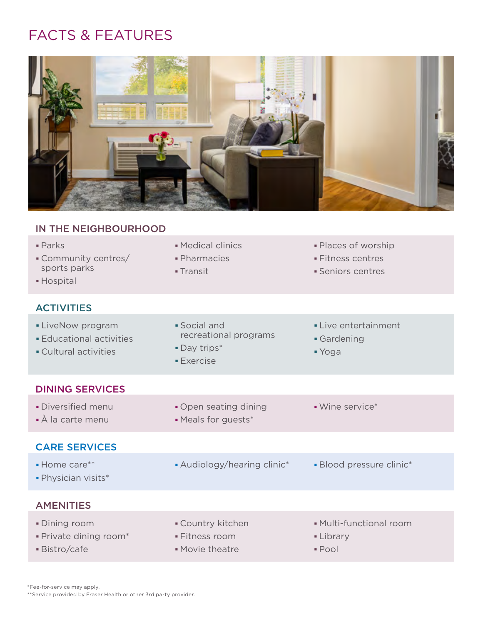## FACTS & FEATURES



#### IN THE NEIGHBOURHOOD

| • Medical clinics<br>· Pharmacies<br>- Transit                           | · Places of worship<br>· Fitness centres<br>• Seniors centres |
|--------------------------------------------------------------------------|---------------------------------------------------------------|
|                                                                          |                                                               |
| · Social and<br>recreational programs<br>• Day trips*<br><b>Exercise</b> | Live entertainment<br>Gardening<br>■ Yoga                     |
|                                                                          |                                                               |
| • Open seating dining<br>• Meals for guests*                             | • Wine service*                                               |
|                                                                          |                                                               |
| • Audiology/hearing clinic*                                              | · Blood pressure clinic*                                      |
|                                                                          |                                                               |
| • Country kitchen<br>· Fitness room<br>• Movie theatre                   | • Multi-functional room<br>• Library<br>· Pool                |
|                                                                          |                                                               |

\*Fee-for-service may apply.

\*\*Service provided by Fraser Health or other 3rd party provider.